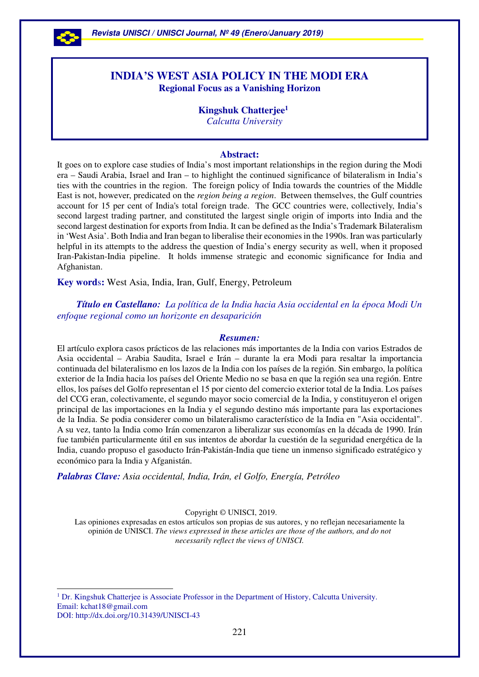

# **INDIA'S WEST ASIA POLICY IN THE MODI ERA Regional Focus as a Vanishing Horizon**

 **Kingshuk Chatterjee<sup>1</sup>**  *Calcutta University* 

## **Abstract:**

It goes on to explore case studies of India's most important relationships in the region during the Modi era – Saudi Arabia, Israel and Iran – to highlight the continued significance of bilateralism in India's ties with the countries in the region. The foreign policy of India towards the countries of the Middle East is not, however, predicated on the *region being a region*. Between themselves, the Gulf countries account for 15 per cent of India's total foreign trade. The GCC countries were, collectively, India's second largest trading partner, and constituted the largest single origin of imports into India and the second largest destination for exports from India. It can be defined as the India's Trademark Bilateralism in 'West Asia'. Both India and Iran began to liberalise their economies in the 1990s. Iran was particularly helpful in its attempts to the address the question of India's energy security as well, when it proposed Iran-Pakistan-India pipeline. It holds immense strategic and economic significance for India and Afghanistan.

**Key word**s**:** West Asia, India, Iran, Gulf, Energy, Petroleum

 *Título en Castellano: La política de la India hacia Asia occidental en la época Modi Un enfoque regional como un horizonte en desaparición* 

#### *Resumen:*

El artículo explora casos prácticos de las relaciones más importantes de la India con varios Estrados de Asia occidental – Arabia Saudita, Israel e Irán – durante la era Modi para resaltar la importancia continuada del bilateralismo en los lazos de la India con los países de la región. Sin embargo, la política exterior de la India hacia los países del Oriente Medio no se basa en que la región sea una región. Entre ellos, los países del Golfo representan el 15 por ciento del comercio exterior total de la India. Los países del CCG eran, colectivamente, el segundo mayor socio comercial de la India, y constituyeron el origen principal de las importaciones en la India y el segundo destino más importante para las exportaciones de la India. Se podia considerer como un bilateralismo característico de la India en "Asia occidental". A su vez, tanto la India como Irán comenzaron a liberalizar sus economías en la década de 1990. Irán fue también particularmente útil en sus intentos de abordar la cuestión de la seguridad energética de la India, cuando propuso el gasoducto Irán-Pakistán-India que tiene un inmenso significado estratégico y económico para la India y Afganistán.

*Palabras Clave: Asia occidental, India, Irán, el Golfo, Energía, Petróleo*

Copyright © UNISCI, 2019.

Las opiniones expresadas en estos artículos son propias de sus autores, y no reflejan necesariamente la opinión de UNISCI. *The views expressed in these articles are those of the authors, and do not necessarily reflect the views of UNISCI.*

<sup>1</sup> Dr. Kingshuk Chatterjee is Associate Professor in the Department of History, Calcutta University. Email: kchat18@gmail.com DOI: http://dx.doi.org/10.31439/UNISCI-43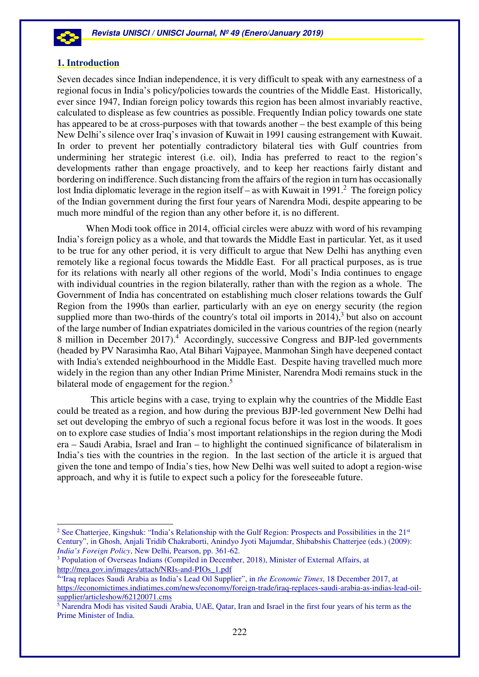

## **1. Introduction**

Seven decades since Indian independence, it is very difficult to speak with any earnestness of a regional focus in India's policy/policies towards the countries of the Middle East. Historically, ever since 1947, Indian foreign policy towards this region has been almost invariably reactive, calculated to displease as few countries as possible. Frequently Indian policy towards one state has appeared to be at cross-purposes with that towards another – the best example of this being New Delhi's silence over Iraq's invasion of Kuwait in 1991 causing estrangement with Kuwait. In order to prevent her potentially contradictory bilateral ties with Gulf countries from undermining her strategic interest (i.e. oil), India has preferred to react to the region's developments rather than engage proactively, and to keep her reactions fairly distant and bordering on indifference. Such distancing from the affairs of the region in turn has occasionally lost India diplomatic leverage in the region itself – as with Kuwait in 1991.<sup>2</sup> The foreign policy of the Indian government during the first four years of Narendra Modi, despite appearing to be much more mindful of the region than any other before it, is no different.

When Modi took office in 2014, official circles were abuzz with word of his revamping India's foreign policy as a whole, and that towards the Middle East in particular. Yet, as it used to be true for any other period, it is very difficult to argue that New Delhi has anything even remotely like a regional focus towards the Middle East. For all practical purposes, as is true for its relations with nearly all other regions of the world, Modi's India continues to engage with individual countries in the region bilaterally, rather than with the region as a whole. The Government of India has concentrated on establishing much closer relations towards the Gulf Region from the 1990s than earlier, particularly with an eye on energy security (the region supplied more than two-thirds of the country's total oil imports in  $2014$ ),<sup>3</sup> but also on account of the large number of Indian expatriates domiciled in the various countries of the region (nearly 8 million in December 2017).<sup>4</sup> Accordingly, successive Congress and BJP-led governments (headed by PV Narasimha Rao, Atal Bihari Vajpayee, Manmohan Singh have deepened contact with India's extended neighbourhood in the Middle East. Despite having travelled much more widely in the region than any other Indian Prime Minister, Narendra Modi remains stuck in the bilateral mode of engagement for the region. $5$ 

 This article begins with a case, trying to explain why the countries of the Middle East could be treated as a region, and how during the previous BJP-led government New Delhi had set out developing the embryo of such a regional focus before it was lost in the woods. It goes on to explore case studies of India's most important relationships in the region during the Modi era – Saudi Arabia, Israel and Iran – to highlight the continued significance of bilateralism in India's ties with the countries in the region. In the last section of the article it is argued that given the tone and tempo of India's ties, how New Delhi was well suited to adopt a region-wise approach, and why it is futile to expect such a policy for the foreseeable future.

<sup>&</sup>lt;sup>2</sup> See Chatterjee, Kingshuk: "India's Relationship with the Gulf Region: Prospects and Possibilities in the 21st Century", in Ghosh, Anjali Tridib Chakraborti, Anindyo Jyoti Majumdar, Shibabshis Chatterjee (eds.) (2009): *India's Foreign Policy*, New Delhi, Pearson, pp. 361-62.

<sup>&</sup>lt;sup>3</sup> Population of Overseas Indians (Compiled in December, 2018), Minister of External Affairs, at http://mea.gov.in/images/attach/NRIs-and-PIOs\_1.pdf

<sup>4</sup> "Iraq replaces Saudi Arabia as India's Lead Oil Supplier", in *the Economic Times*, 18 December 2017, at https://economictimes.indiatimes.com/news/economy/foreign-trade/iraq-replaces-saudi-arabia-as-indias-lead-oilsupplier/articleshow/62120071.cms

<sup>&</sup>lt;sup>5</sup> Narendra Modi has visited Saudi Arabia, UAE, Qatar, Iran and Israel in the first four years of his term as the Prime Minister of India.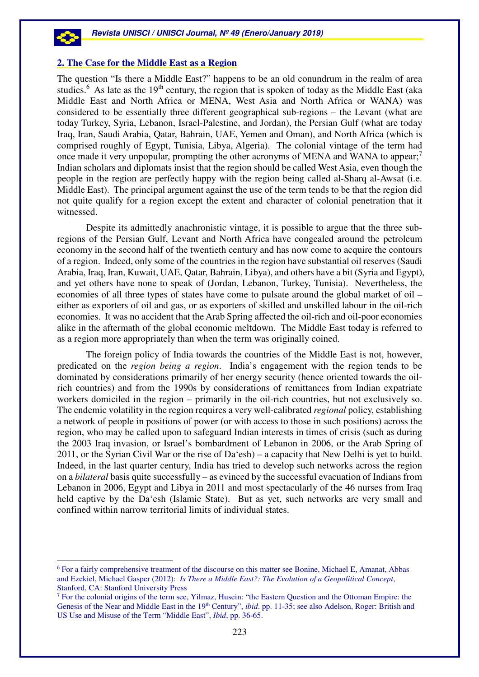

#### **2. The Case for the Middle East as a Region**

The question "Is there a Middle East?" happens to be an old conundrum in the realm of area studies.<sup>6</sup> As late as the 19<sup>th</sup> century, the region that is spoken of today as the Middle East (aka Middle East and North Africa or MENA, West Asia and North Africa or WANA) was considered to be essentially three different geographical sub-regions – the Levant (what are today Turkey, Syria, Lebanon, Israel-Palestine, and Jordan), the Persian Gulf (what are today Iraq, Iran, Saudi Arabia, Qatar, Bahrain, UAE, Yemen and Oman), and North Africa (which is comprised roughly of Egypt, Tunisia, Libya, Algeria). The colonial vintage of the term had once made it very unpopular, prompting the other acronyms of MENA and WANA to appear;<sup>7</sup> Indian scholars and diplomats insist that the region should be called West Asia, even though the people in the region are perfectly happy with the region being called al-Sharq al-Awsat (i.e. Middle East). The principal argument against the use of the term tends to be that the region did not quite qualify for a region except the extent and character of colonial penetration that it witnessed.

Despite its admittedly anachronistic vintage, it is possible to argue that the three subregions of the Persian Gulf, Levant and North Africa have congealed around the petroleum economy in the second half of the twentieth century and has now come to acquire the contours of a region. Indeed, only some of the countries in the region have substantial oil reserves (Saudi Arabia, Iraq, Iran, Kuwait, UAE, Qatar, Bahrain, Libya), and others have a bit (Syria and Egypt), and yet others have none to speak of (Jordan, Lebanon, Turkey, Tunisia). Nevertheless, the economies of all three types of states have come to pulsate around the global market of oil – either as exporters of oil and gas, or as exporters of skilled and unskilled labour in the oil-rich economies. It was no accident that the Arab Spring affected the oil-rich and oil-poor economies alike in the aftermath of the global economic meltdown. The Middle East today is referred to as a region more appropriately than when the term was originally coined.

The foreign policy of India towards the countries of the Middle East is not, however, predicated on the *region being a region*. India's engagement with the region tends to be dominated by considerations primarily of her energy security (hence oriented towards the oilrich countries) and from the 1990s by considerations of remittances from Indian expatriate workers domiciled in the region – primarily in the oil-rich countries, but not exclusively so. The endemic volatility in the region requires a very well-calibrated *regional* policy, establishing a network of people in positions of power (or with access to those in such positions) across the region, who may be called upon to safeguard Indian interests in times of crisis (such as during the 2003 Iraq invasion, or Israel's bombardment of Lebanon in 2006, or the Arab Spring of 2011, or the Syrian Civil War or the rise of Da'esh) – a capacity that New Delhi is yet to build. Indeed, in the last quarter century, India has tried to develop such networks across the region on a *bilateral* basis quite successfully – as evinced by the successful evacuation of Indians from Lebanon in 2006, Egypt and Libya in 2011 and most spectacularly of the 46 nurses from Iraq held captive by the Da'esh (Islamic State). But as yet, such networks are very small and confined within narrow territorial limits of individual states.

<sup>6</sup> For a fairly comprehensive treatment of the discourse on this matter see Bonine, Michael E, Amanat, Abbas and Ezekiel, Michael Gasper (2012): *Is There a Middle East?: The Evolution of a Geopolitical Concept*, Stanford, CA: Stanford University Press

<sup>&</sup>lt;sup>7</sup> For the colonial origins of the term see, Yilmaz, Husein: "the Eastern Question and the Ottoman Empire: the Genesis of the Near and Middle East in the 19<sup>th</sup> Century", *ibid.* pp. 11-35; see also Adelson, Roger: British and US Use and Misuse of the Term "Middle East", *Ibid*, pp. 36-65.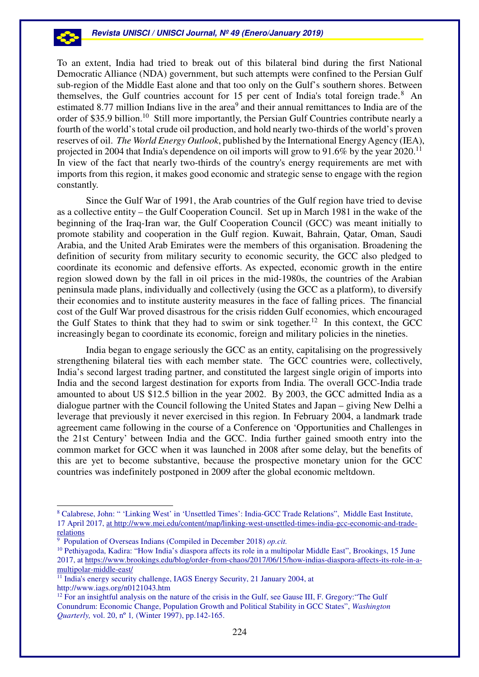To an extent, India had tried to break out of this bilateral bind during the first National Democratic Alliance (NDA) government, but such attempts were confined to the Persian Gulf sub-region of the Middle East alone and that too only on the Gulf's southern shores. Between themselves, the Gulf countries account for 15 per cent of India's total foreign trade.<sup>8</sup> An estimated 8.77 million Indians live in the area<sup>9</sup> and their annual remittances to India are of the order of \$35.9 billion.<sup>10</sup> Still more importantly, the Persian Gulf Countries contribute nearly a fourth of the world's total crude oil production, and hold nearly two-thirds of the world's proven reserves of oil. *The World Energy Outlook*, published by the International Energy Agency (IEA), projected in 2004 that India's dependence on oil imports will grow to 91.6% by the year 2020.<sup>11</sup> In view of the fact that nearly two-thirds of the country's energy requirements are met with imports from this region, it makes good economic and strategic sense to engage with the region constantly.

Since the Gulf War of 1991, the Arab countries of the Gulf region have tried to devise as a collective entity – the Gulf Cooperation Council. Set up in March 1981 in the wake of the beginning of the Iraq-Iran war, the Gulf Cooperation Council (GCC) was meant initially to promote stability and cooperation in the Gulf region. Kuwait, Bahrain, Qatar, Oman, Saudi Arabia, and the United Arab Emirates were the members of this organisation. Broadening the definition of security from military security to economic security, the GCC also pledged to coordinate its economic and defensive efforts. As expected, economic growth in the entire region slowed down by the fall in oil prices in the mid-1980s, the countries of the Arabian peninsula made plans, individually and collectively (using the GCC as a platform), to diversify their economies and to institute austerity measures in the face of falling prices. The financial cost of the Gulf War proved disastrous for the crisis ridden Gulf economies, which encouraged the Gulf States to think that they had to swim or sink together.<sup>12</sup> In this context, the GCC increasingly began to coordinate its economic, foreign and military policies in the nineties.

India began to engage seriously the GCC as an entity, capitalising on the progressively strengthening bilateral ties with each member state. The GCC countries were, collectively, India's second largest trading partner, and constituted the largest single origin of imports into India and the second largest destination for exports from India. The overall GCC-India trade amounted to about US \$12.5 billion in the year 2002. By 2003, the GCC admitted India as a dialogue partner with the Council following the United States and Japan – giving New Delhi a leverage that previously it never exercised in this region. In February 2004, a landmark trade agreement came following in the course of a Conference on 'Opportunities and Challenges in the 21st Century' between India and the GCC. India further gained smooth entry into the common market for GCC when it was launched in 2008 after some delay, but the benefits of this are yet to become substantive, because the prospective monetary union for the GCC countries was indefinitely postponed in 2009 after the global economic meltdown.

 $\overline{a}$ 

<sup>8</sup> Calabrese, John: " 'Linking West' in 'Unsettled Times': India-GCC Trade Relations", Middle East Institute, 17 April 2017, at http://www.mei.edu/content/map/linking-west-unsettled-times-india-gcc-economic-and-traderelations

<sup>9</sup> Population of Overseas Indians (Compiled in December 2018) *op.cit.*

<sup>10</sup> Pethiyagoda, Kadira: "How India's diaspora affects its role in a multipolar Middle East", Brookings, 15 June 2017, at https://www.brookings.edu/blog/order-from-chaos/2017/06/15/how-indias-diaspora-affects-its-role-in-amultipolar-middle-east/

<sup>&</sup>lt;sup>11</sup> India's energy security challenge, IAGS Energy Security, 21 January 2004, at http://www.iags.org/n0121043.htm

 $12$  For an insightful analysis on the nature of the crisis in the Gulf, see Gause III, F. Gregory: "The Gulf Conundrum: Economic Change, Population Growth and Political Stability in GCC States", *Washington Quarterly,* vol. 20, nº 1*,* (Winter 1997), pp.142-165.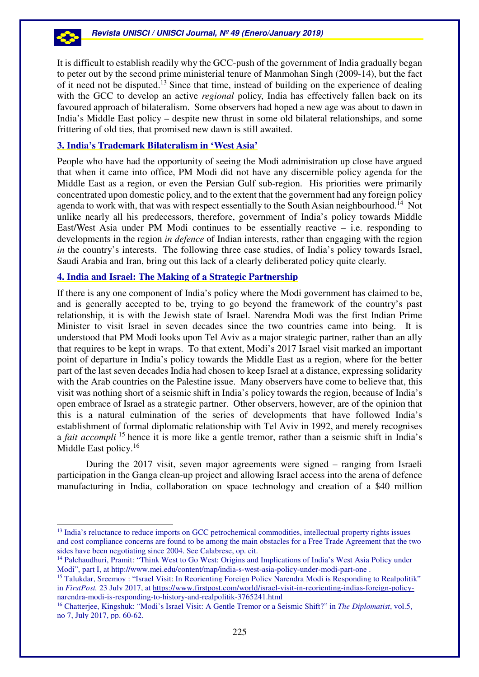It is difficult to establish readily why the GCC-push of the government of India gradually began to peter out by the second prime ministerial tenure of Manmohan Singh (2009-14), but the fact of it need not be disputed.<sup>13</sup> Since that time, instead of building on the experience of dealing with the GCC to develop an active *regional* policy, India has effectively fallen back on its favoured approach of bilateralism. Some observers had hoped a new age was about to dawn in India's Middle East policy – despite new thrust in some old bilateral relationships, and some frittering of old ties, that promised new dawn is still awaited.

# **3. India's Trademark Bilateralism in 'West Asia'**

People who have had the opportunity of seeing the Modi administration up close have argued that when it came into office, PM Modi did not have any discernible policy agenda for the Middle East as a region, or even the Persian Gulf sub-region. His priorities were primarily concentrated upon domestic policy, and to the extent that the government had any foreign policy agenda to work with, that was with respect essentially to the South Asian neighbourhood.<sup>14</sup> Not unlike nearly all his predecessors, therefore, government of India's policy towards Middle East/West Asia under PM Modi continues to be essentially reactive – i.e. responding to developments in the region *in defence* of Indian interests, rather than engaging with the region *in* the country's interests. The following three case studies, of India's policy towards Israel, Saudi Arabia and Iran, bring out this lack of a clearly deliberated policy quite clearly.

## **4. India and Israel: The Making of a Strategic Partnership**

 $\overline{a}$ 

If there is any one component of India's policy where the Modi government has claimed to be, and is generally accepted to be, trying to go beyond the framework of the country's past relationship, it is with the Jewish state of Israel. Narendra Modi was the first Indian Prime Minister to visit Israel in seven decades since the two countries came into being. It is understood that PM Modi looks upon Tel Aviv as a major strategic partner, rather than an ally that requires to be kept in wraps. To that extent, Modi's 2017 Israel visit marked an important point of departure in India's policy towards the Middle East as a region, where for the better part of the last seven decades India had chosen to keep Israel at a distance, expressing solidarity with the Arab countries on the Palestine issue. Many observers have come to believe that, this visit was nothing short of a seismic shift in India's policy towards the region, because of India's open embrace of Israel as a strategic partner. Other observers, however, are of the opinion that this is a natural culmination of the series of developments that have followed India's establishment of formal diplomatic relationship with Tel Aviv in 1992, and merely recognises a *fait accompli* <sup>15</sup> hence it is more like a gentle tremor, rather than a seismic shift in India's Middle East policy.<sup>16</sup>

During the 2017 visit, seven major agreements were signed – ranging from Israeli participation in the Ganga clean-up project and allowing Israel access into the arena of defence manufacturing in India, collaboration on space technology and creation of a \$40 million

<sup>&</sup>lt;sup>13</sup> India's reluctance to reduce imports on GCC petrochemical commodities, intellectual property rights issues and cost compliance concerns are found to be among the main obstacles for a Free Trade Agreement that the two sides have been negotiating since 2004. See Calabrese, op. cit.

<sup>14</sup> Palchaudhuri, Pramit: "Think West to Go West: Origins and Implications of India's West Asia Policy under Modi", part I, at http://www.mei.edu/content/map/india-s-west-asia-policy-under-modi-part-one .

<sup>&</sup>lt;sup>15</sup> Talukdar, Sreemoy : "Israel Visit: In Reorienting Foreign Policy Narendra Modi is Responding to Realpolitik" in *FirstPost,* 23 July 2017, at https://www.firstpost.com/world/israel-visit-in-reorienting-indias-foreign-policynarendra-modi-is-responding-to-history-and-realpolitik-3765241.html

<sup>16</sup> Chatterjee, Kingshuk: "Modi's Israel Visit: A Gentle Tremor or a Seismic Shift?" in *The Diplomatist*, vol.5, no 7, July 2017, pp. 60-62.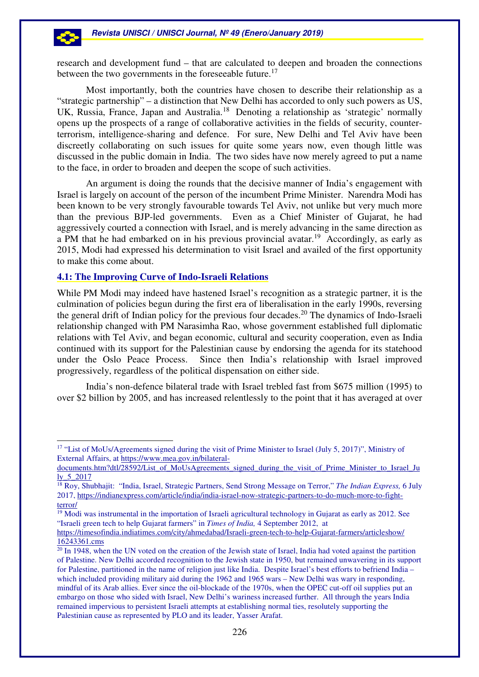research and development fund – that are calculated to deepen and broaden the connections between the two governments in the foreseeable future.<sup>17</sup>

Most importantly, both the countries have chosen to describe their relationship as a "strategic partnership" – a distinction that New Delhi has accorded to only such powers as US, UK, Russia, France, Japan and Australia.<sup>18</sup> Denoting a relationship as 'strategic' normally opens up the prospects of a range of collaborative activities in the fields of security, counterterrorism, intelligence-sharing and defence. For sure, New Delhi and Tel Aviv have been discreetly collaborating on such issues for quite some years now, even though little was discussed in the public domain in India. The two sides have now merely agreed to put a name to the face, in order to broaden and deepen the scope of such activities.

An argument is doing the rounds that the decisive manner of India's engagement with Israel is largely on account of the person of the incumbent Prime Minister. Narendra Modi has been known to be very strongly favourable towards Tel Aviv, not unlike but very much more than the previous BJP-led governments. Even as a Chief Minister of Gujarat, he had aggressively courted a connection with Israel, and is merely advancing in the same direction as a PM that he had embarked on in his previous provincial avatar.<sup>19</sup> Accordingly, as early as 2015, Modi had expressed his determination to visit Israel and availed of the first opportunity to make this come about.

# **4.1: The Improving Curve of Indo-Israeli Relations**

 $\overline{a}$ 

While PM Modi may indeed have hastened Israel's recognition as a strategic partner, it is the culmination of policies begun during the first era of liberalisation in the early 1990s, reversing the general drift of Indian policy for the previous four decades.<sup>20</sup> The dynamics of Indo-Israeli relationship changed with PM Narasimha Rao, whose government established full diplomatic relations with Tel Aviv, and began economic, cultural and security cooperation, even as India continued with its support for the Palestinian cause by endorsing the agenda for its statehood under the Oslo Peace Process. Since then India's relationship with Israel improved progressively, regardless of the political dispensation on either side.

India's non-defence bilateral trade with Israel trebled fast from \$675 million (1995) to over \$2 billion by 2005, and has increased relentlessly to the point that it has averaged at over

<sup>&</sup>lt;sup>17</sup> "List of MoUs/Agreements signed during the visit of Prime Minister to Israel (July 5, 2017)", Ministry of External Affairs, at https://www.mea.gov.in/bilateral-

documents.htm?dtl/28592/List\_of\_MoUsAgreements\_signed\_during\_the\_visit\_of\_Prime\_Minister\_to\_Israel\_Ju ly\_5\_2017

<sup>18</sup> Roy, Shubhajit: "India, Israel, Strategic Partners, Send Strong Message on Terror," *The Indian Express,* 6 July 2017, https://indianexpress.com/article/india/india-israel-now-strategic-partners-to-do-much-more-to-fightterror/

 $\frac{19}{19}$  Modi was instrumental in the importation of Israeli agricultural technology in Gujarat as early as 2012. See "Israeli green tech to help Gujarat farmers" in *Times of India,* 4 September 2012, at

https://timesofindia.indiatimes.com/city/ahmedabad/Israeli-green-tech-to-help-Gujarat-farmers/articleshow/ 16243361.cms

<sup>&</sup>lt;sup>20</sup> In 1948, when the UN voted on the creation of the Jewish state of Israel, India had voted against the partition of Palestine. New Delhi accorded recognition to the Jewish state in 1950, but remained unwavering in its support for Palestine, partitioned in the name of religion just like India. Despite Israel's best efforts to befriend India – which included providing military aid during the 1962 and 1965 wars – New Delhi was wary in responding, mindful of its Arab allies. Ever since the oil-blockade of the 1970s, when the OPEC cut-off oil supplies put an embargo on those who sided with Israel, New Delhi's wariness increased further. All through the years India remained impervious to persistent Israeli attempts at establishing normal ties, resolutely supporting the Palestinian cause as represented by PLO and its leader, Yasser Arafat.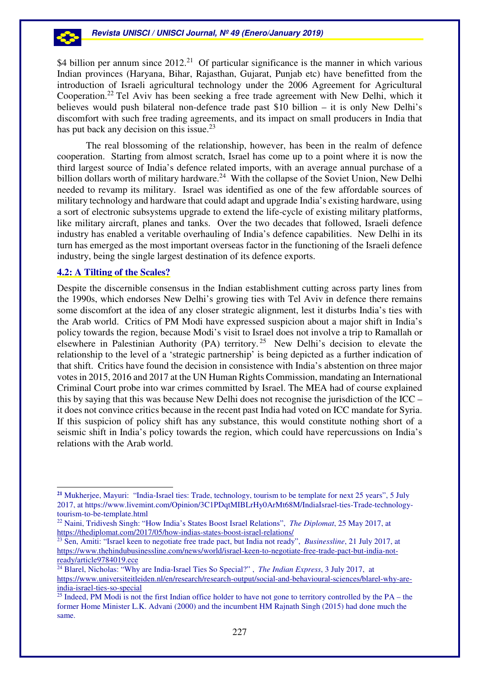\$4 billion per annum since  $2012<sup>21</sup>$  Of particular significance is the manner in which various Indian provinces (Haryana, Bihar, Rajasthan, Gujarat, Punjab etc) have benefitted from the introduction of Israeli agricultural technology under the 2006 Agreement for Agricultural Cooperation.<sup>22</sup> Tel Aviv has been seeking a free trade agreement with New Delhi, which it believes would push bilateral non-defence trade past \$10 billion – it is only New Delhi's discomfort with such free trading agreements, and its impact on small producers in India that has put back any decision on this issue.<sup>23</sup>

The real blossoming of the relationship, however, has been in the realm of defence cooperation. Starting from almost scratch, Israel has come up to a point where it is now the third largest source of India's defence related imports, with an average annual purchase of a billion dollars worth of military hardware.<sup>24</sup> With the collapse of the Soviet Union, New Delhi needed to revamp its military. Israel was identified as one of the few affordable sources of military technology and hardware that could adapt and upgrade India's existing hardware, using a sort of electronic subsystems upgrade to extend the life-cycle of existing military platforms, like military aircraft, planes and tanks. Over the two decades that followed, Israeli defence industry has enabled a veritable overhauling of India's defence capabilities. New Delhi in its turn has emerged as the most important overseas factor in the functioning of the Israeli defence industry, being the single largest destination of its defence exports.

## **4.2: A Tilting of the Scales?**

53

 $\overline{a}$ 

Despite the discernible consensus in the Indian establishment cutting across party lines from the 1990s, which endorses New Delhi's growing ties with Tel Aviv in defence there remains some discomfort at the idea of any closer strategic alignment, lest it disturbs India's ties with the Arab world. Critics of PM Modi have expressed suspicion about a major shift in India's policy towards the region, because Modi's visit to Israel does not involve a trip to Ramallah or elsewhere in Palestinian Authority (PA) territory.<sup>25</sup> New Delhi's decision to elevate the relationship to the level of a 'strategic partnership' is being depicted as a further indication of that shift. Critics have found the decision in consistence with India's abstention on three major votes in 2015, 2016 and 2017 at the UN Human Rights Commission, mandating an International Criminal Court probe into war crimes committed by Israel. The MEA had of course explained this by saying that this was because New Delhi does not recognise the jurisdiction of the ICC – it does not convince critics because in the recent past India had voted on ICC mandate for Syria. If this suspicion of policy shift has any substance, this would constitute nothing short of a seismic shift in India's policy towards the region, which could have repercussions on India's relations with the Arab world.

**<sup>21</sup>** Mukherjee, Mayuri: "India-Israel ties: Trade, technology, tourism to be template for next 25 years", 5 July 2017, at https://www.livemint.com/Opinion/3C1PDqtMIBLrHy0ArMt68M/IndiaIsrael-ties-Trade-technologytourism-to-be-template.html

<sup>22</sup> Naini, Tridivesh Singh: "How India's States Boost Israel Relations", *The Diplomat*, 25 May 2017, at https://thediplomat.com/2017/05/how-indias-states-boost-israel-relations/

<sup>23</sup> Sen, Amiti: "Israel keen to negotiate free trade pact, but India not ready", *Businessline*, 21 July 2017, at https://www.thehindubusinessline.com/news/world/israel-keen-to-negotiate-free-trade-pact-but-india-notready/article9784019.ece

<sup>&</sup>lt;sup>24</sup> Blarel, Nicholas: "Why are India-Israel Ties So Special?" , *The Indian Express*, 3 July 2017, at https://www.universiteitleiden.nl/en/research/research-output/social-and-behavioural-sciences/blarel-why-areindia-israel-ties-so-special

 $25$  Indeed, PM Modi is not the first Indian office holder to have not gone to territory controlled by the PA – the former Home Minister L.K. Advani (2000) and the incumbent HM Rajnath Singh (2015) had done much the same.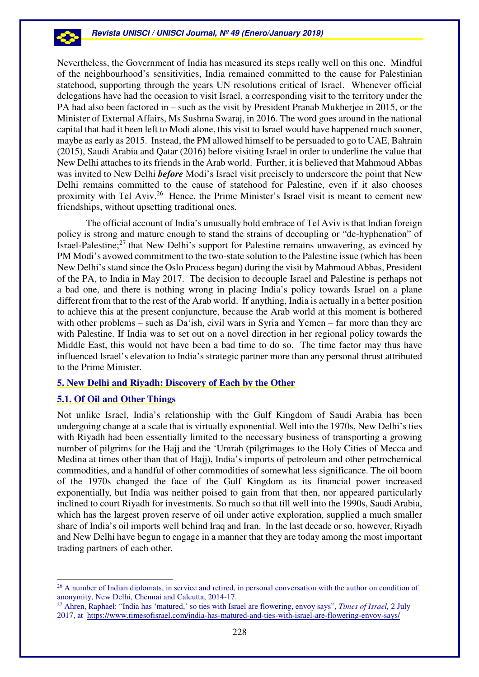Nevertheless, the Government of India has measured its steps really well on this one. Mindful of the neighbourhood's sensitivities, India remained committed to the cause for Palestinian statehood, supporting through the years UN resolutions critical of Israel. Whenever official delegations have had the occasion to visit Israel, a corresponding visit to the territory under the PA had also been factored in – such as the visit by President Pranab Mukherjee in 2015, or the Minister of External Affairs, Ms Sushma Swaraj, in 2016. The word goes around in the national capital that had it been left to Modi alone, this visit to Israel would have happened much sooner, maybe as early as 2015. Instead, the PM allowed himself to be persuaded to go to UAE, Bahrain (2015), Saudi Arabia and Qatar (2016) before visiting Israel in order to underline the value that New Delhi attaches to its friends in the Arab world. Further, it is believed that Mahmoud Abbas was invited to New Delhi *before* Modi's Israel visit precisely to underscore the point that New Delhi remains committed to the cause of statehood for Palestine, even if it also chooses proximity with Tel Aviv.<sup>26</sup> Hence, the Prime Minister's Israel visit is meant to cement new friendships, without upsetting traditional ones.

The official account of India's unusually bold embrace of Tel Aviv is that Indian foreign policy is strong and mature enough to stand the strains of decoupling or "de-hyphenation" of Israel-Palestine;<sup>27</sup> that New Delhi's support for Palestine remains unwavering, as evinced by PM Modi's avowed commitment to the two-state solution to the Palestine issue (which has been New Delhi's stand since the Oslo Process began) during the visit by Mahmoud Abbas, President of the PA, to India in May 2017. The decision to decouple Israel and Palestine is perhaps not a bad one, and there is nothing wrong in placing India's policy towards Israel on a plane different from that to the rest of the Arab world. If anything, India is actually in a better position to achieve this at the present conjuncture, because the Arab world at this moment is bothered with other problems – such as Da'ish, civil wars in Syria and Yemen – far more than they are with Palestine. If India was to set out on a novel direction in her regional policy towards the Middle East, this would not have been a bad time to do so. The time factor may thus have influenced Israel's elevation to India's strategic partner more than any personal thrust attributed to the Prime Minister.

## **5. New Delhi and Riyadh: Discovery of Each by the Other**

## **5.1. Of Oil and Other Things**

 $\overline{a}$ 

Not unlike Israel, India's relationship with the Gulf Kingdom of Saudi Arabia has been undergoing change at a scale that is virtually exponential. Well into the 1970s, New Delhi's ties with Riyadh had been essentially limited to the necessary business of transporting a growing number of pilgrims for the Hajj and the 'Umrah (pilgrimages to the Holy Cities of Mecca and Medina at times other than that of Hajj), India's imports of petroleum and other petrochemical commodities, and a handful of other commodities of somewhat less significance. The oil boom of the 1970s changed the face of the Gulf Kingdom as its financial power increased exponentially, but India was neither poised to gain from that then, nor appeared particularly inclined to court Riyadh for investments. So much so that till well into the 1990s, Saudi Arabia, which has the largest proven reserve of oil under active exploration, supplied a much smaller share of India's oil imports well behind Iraq and Iran. In the last decade or so, however, Riyadh and New Delhi have begun to engage in a manner that they are today among the most important trading partners of each other.

<sup>&</sup>lt;sup>26</sup> A number of Indian diplomats, in service and retired, in personal conversation with the author on condition of anonymity, New Delhi, Chennai and Calcutta, 2014-17.

<sup>27</sup> Ahren, Raphael: "India has 'matured,' so ties with Israel are flowering, envoy says", *Times of Israel,* 2 July 2017, at https://www.timesofisrael.com/india-has-matured-and-ties-with-israel-are-flowering-envoy-says/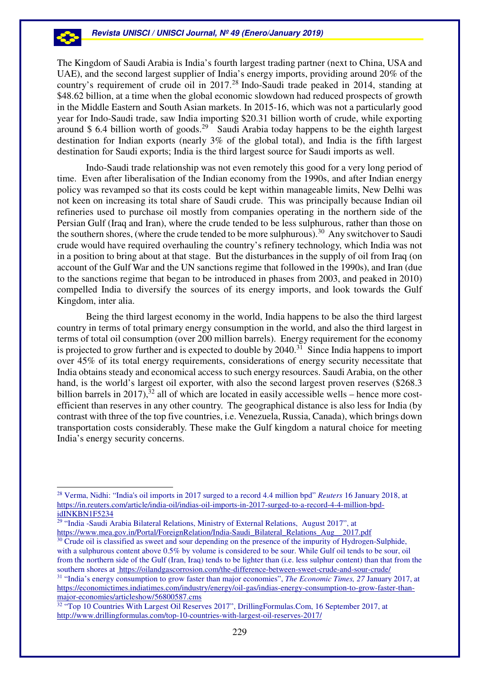The Kingdom of Saudi Arabia is India's fourth largest trading partner (next to China, USA and UAE), and the second largest supplier of India's energy imports, providing around 20% of the country's requirement of crude oil in 2017.<sup>28</sup> Indo-Saudi trade peaked in 2014, standing at \$48.62 billion, at a time when the global economic slowdown had reduced prospects of growth in the Middle Eastern and South Asian markets. In 2015-16, which was not a particularly good year for Indo-Saudi trade, saw India importing \$20.31 billion worth of crude, while exporting around \$ 6.4 billion worth of goods.<sup>29</sup> Saudi Arabia today happens to be the eighth largest destination for Indian exports (nearly 3% of the global total), and India is the fifth largest destination for Saudi exports; India is the third largest source for Saudi imports as well.

Indo-Saudi trade relationship was not even remotely this good for a very long period of time. Even after liberalisation of the Indian economy from the 1990s, and after Indian energy policy was revamped so that its costs could be kept within manageable limits, New Delhi was not keen on increasing its total share of Saudi crude. This was principally because Indian oil refineries used to purchase oil mostly from companies operating in the northern side of the Persian Gulf (Iraq and Iran), where the crude tended to be less sulphurous, rather than those on the southern shores, (where the crude tended to be more sulphurous).<sup>30</sup> Any switchover to Saudi crude would have required overhauling the country's refinery technology, which India was not in a position to bring about at that stage. But the disturbances in the supply of oil from Iraq (on account of the Gulf War and the UN sanctions regime that followed in the 1990s), and Iran (due to the sanctions regime that began to be introduced in phases from 2003, and peaked in 2010) compelled India to diversify the sources of its energy imports, and look towards the Gulf Kingdom, inter alia.

Being the third largest economy in the world, India happens to be also the third largest country in terms of total primary energy consumption in the world, and also the third largest in terms of total oil consumption (over 200 million barrels). Energy requirement for the economy is projected to grow further and is expected to double by  $2040$ .<sup>31</sup> Since India happens to import over 45% of its total energy requirements, considerations of energy security necessitate that India obtains steady and economical access to such energy resources. Saudi Arabia, on the other hand, is the world's largest oil exporter, with also the second largest proven reserves (\$268.3 billion barrels in 2017),  $32$  all of which are located in easily accessible wells – hence more costefficient than reserves in any other country. The geographical distance is also less for India (by contrast with three of the top five countries, i.e. Venezuela, Russia, Canada), which brings down transportation costs considerably. These make the Gulf kingdom a natural choice for meeting India's energy security concerns.

 $\overline{a}$ 

53

<sup>28</sup> Verma, Nidhi: "India's oil imports in 2017 surged to a record 4.4 million bpd" *Reuters* 16 January 2018, at https://in.reuters.com/article/india-oil/indias-oil-imports-in-2017-surged-to-a-record-4-4-million-bpdidINKBN1F5234

<sup>&</sup>lt;sup>29</sup> "India -Saudi Arabia Bilateral Relations, Ministry of External Relations, August 2017", at https://www.mea.gov.in/Portal/ForeignRelation/India-Saudi\_Bilateral\_Relations\_Aug\_\_2017.pdf

<sup>&</sup>lt;sup>30</sup> Crude oil is classified as sweet and sour depending on the presence of the impurity of Hydrogen-Sulphide, with a sulphurous content above 0.5% by volume is considered to be sour. While Gulf oil tends to be sour, oil from the northern side of the Gulf (Iran, Iraq) tends to be lighter than (i.e. less sulphur content) than that from the southern shores at https://oilandgascorrosion.com/the-difference-between-sweet-crude-and-sour-crude/ <sup>31</sup> "India's energy consumption to grow faster than major economies", *The Economic Times, 27* January 2017, at https://economictimes.indiatimes.com/industry/energy/oil-gas/indias-energy-consumption-to-grow-faster-thanmajor-economies/articleshow/56800587.cms

<sup>32</sup> "Top 10 Countries With Largest Oil Reserves 2017", DrillingFormulas.Com, 16 September 2017, at http://www.drillingformulas.com/top-10-countries-with-largest-oil-reserves-2017/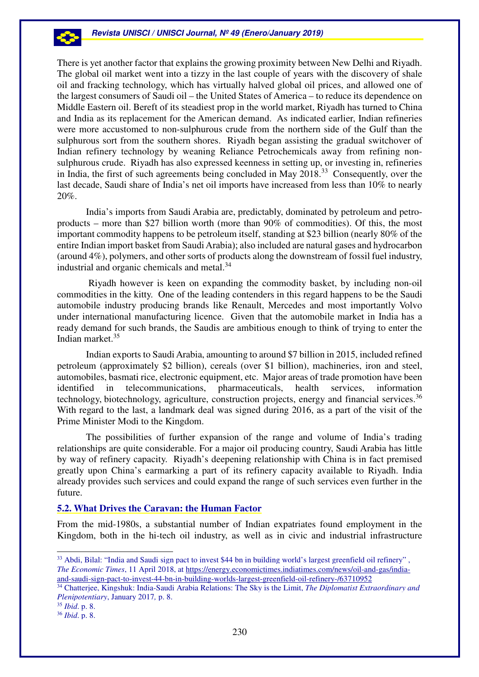There is yet another factor that explains the growing proximity between New Delhi and Riyadh. The global oil market went into a tizzy in the last couple of years with the discovery of shale oil and fracking technology, which has virtually halved global oil prices, and allowed one of the largest consumers of Saudi oil – the United States of America – to reduce its dependence on Middle Eastern oil. Bereft of its steadiest prop in the world market, Riyadh has turned to China and India as its replacement for the American demand. As indicated earlier, Indian refineries were more accustomed to non-sulphurous crude from the northern side of the Gulf than the sulphurous sort from the southern shores. Riyadh began assisting the gradual switchover of Indian refinery technology by weaning Reliance Petrochemicals away from refining nonsulphurous crude. Riyadh has also expressed keenness in setting up, or investing in, refineries in India, the first of such agreements being concluded in May 2018.<sup>33</sup> Consequently, over the last decade, Saudi share of India's net oil imports have increased from less than 10% to nearly 20%.

India's imports from Saudi Arabia are, predictably, dominated by petroleum and petroproducts – more than \$27 billion worth (more than 90% of commodities). Of this, the most important commodity happens to be petroleum itself, standing at \$23 billion (nearly 80% of the entire Indian import basket from Saudi Arabia); also included are natural gases and hydrocarbon (around 4%), polymers, and other sorts of products along the downstream of fossil fuel industry, industrial and organic chemicals and metal.<sup>34</sup>

 Riyadh however is keen on expanding the commodity basket, by including non-oil commodities in the kitty. One of the leading contenders in this regard happens to be the Saudi automobile industry producing brands like Renault, Mercedes and most importantly Volvo under international manufacturing licence. Given that the automobile market in India has a ready demand for such brands, the Saudis are ambitious enough to think of trying to enter the Indian market.<sup>35</sup>

Indian exports to Saudi Arabia, amounting to around \$7 billion in 2015, included refined petroleum (approximately \$2 billion), cereals (over \$1 billion), machineries, iron and steel, automobiles, basmati rice, electronic equipment, etc. Major areas of trade promotion have been identified in telecommunications, pharmaceuticals, health services, information technology, biotechnology, agriculture, construction projects, energy and financial services. $36$ With regard to the last, a landmark deal was signed during 2016, as a part of the visit of the Prime Minister Modi to the Kingdom.

The possibilities of further expansion of the range and volume of India's trading relationships are quite considerable. For a major oil producing country, Saudi Arabia has little by way of refinery capacity. Riyadh's deepening relationship with China is in fact premised greatly upon China's earmarking a part of its refinery capacity available to Riyadh. India already provides such services and could expand the range of such services even further in the future.

# **5.2. What Drives the Caravan: the Human Factor**

From the mid-1980s, a substantial number of Indian expatriates found employment in the Kingdom, both in the hi-tech oil industry, as well as in civic and industrial infrastructure

 $\overline{a}$ 

53

<sup>&</sup>lt;sup>33</sup> Abdi, Bilal: "India and Saudi sign pact to invest \$44 bn in building world's largest greenfield oil refinery", *The Economic Times*, 11 April 2018, at https://energy.economictimes.indiatimes.com/news/oil-and-gas/indiaand-saudi-sign-pact-to-invest-44-bn-in-building-worlds-largest-greenfield-oil-refinery-/63710952

<sup>34</sup> Chatterjee, Kingshuk: India-Saudi Arabia Relations: The Sky is the Limit, *The Diplomatist Extraordinary and Plenipotentiary*, January 2017*,* p. 8.

<sup>35</sup> *Ibid*. p. 8.

<sup>36</sup> *Ibid*. p. 8.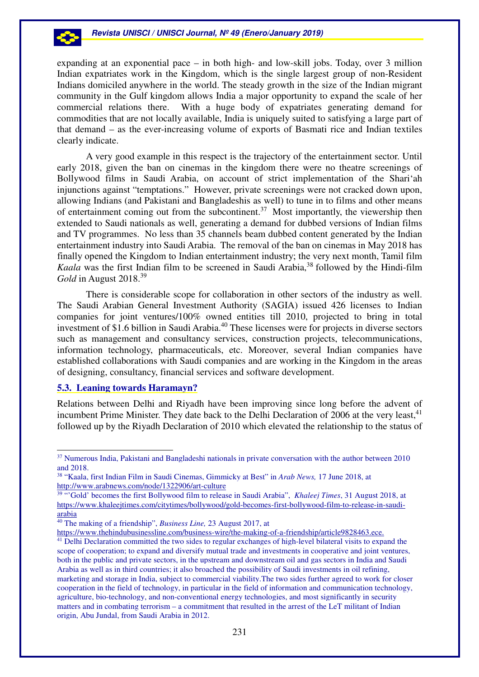expanding at an exponential pace – in both high- and low-skill jobs. Today, over 3 million Indian expatriates work in the Kingdom, which is the single largest group of non-Resident Indians domiciled anywhere in the world. The steady growth in the size of the Indian migrant community in the Gulf kingdom allows India a major opportunity to expand the scale of her commercial relations there. With a huge body of expatriates generating demand for commodities that are not locally available, India is uniquely suited to satisfying a large part of that demand – as the ever-increasing volume of exports of Basmati rice and Indian textiles clearly indicate.

A very good example in this respect is the trajectory of the entertainment sector. Until early 2018, given the ban on cinemas in the kingdom there were no theatre screenings of Bollywood films in Saudi Arabia, on account of strict implementation of the Shari'ah injunctions against "temptations." However, private screenings were not cracked down upon, allowing Indians (and Pakistani and Bangladeshis as well) to tune in to films and other means of entertainment coming out from the subcontinent.<sup>37</sup> Most importantly, the viewership then extended to Saudi nationals as well, generating a demand for dubbed versions of Indian films and TV programmes. No less than 35 channels beam dubbed content generated by the Indian entertainment industry into Saudi Arabia. The removal of the ban on cinemas in May 2018 has finally opened the Kingdom to Indian entertainment industry; the very next month, Tamil film *Kaala* was the first Indian film to be screened in Saudi Arabia,<sup>38</sup> followed by the Hindi-film *Gold* in August 2018.<sup>39</sup>

There is considerable scope for collaboration in other sectors of the industry as well. The Saudi Arabian General Investment Authority (SAGIA) issued 426 licenses to Indian companies for joint ventures/100% owned entities till 2010, projected to bring in total investment of \$1.6 billion in Saudi Arabia.<sup>40</sup> These licenses were for projects in diverse sectors such as management and consultancy services, construction projects, telecommunications, information technology, pharmaceuticals, etc. Moreover, several Indian companies have established collaborations with Saudi companies and are working in the Kingdom in the areas of designing, consultancy, financial services and software development.

## **5.3. Leaning towards Haramayn?**

 $\overline{a}$ 

Relations between Delhi and Riyadh have been improving since long before the advent of incumbent Prime Minister. They date back to the Delhi Declaration of 2006 at the very least,  $41$ followed up by the Riyadh Declaration of 2010 which elevated the relationship to the status of

<sup>&</sup>lt;sup>37</sup> Numerous India, Pakistani and Bangladeshi nationals in private conversation with the author between 2010 and 2018.

<sup>38</sup> "Kaala, first Indian Film in Saudi Cinemas, Gimmicky at Best" in *Arab News,* 17 June 2018, at http://www.arabnews.com/node/1322906/art-culture

<sup>&</sup>lt;sup>39</sup> "'Gold' becomes the first Bollywood film to release in Saudi Arabia", *Khaleej Times*, 31 August 2018, at https://www.khaleejtimes.com/citytimes/bollywood/gold-becomes-first-bollywood-film-to-release-in-saudiarabia

<sup>40</sup> The making of a friendship", *Business Line,* 23 August 2017, at

https://www.thehindubusinessline.com/business-wire/the-making-of-a-friendship/article9828463.ece.

<sup>&</sup>lt;sup>41</sup> Delhi Declaration committed the two sides to regular exchanges of high-level bilateral visits to expand the scope of cooperation; to expand and diversify mutual trade and investments in cooperative and joint ventures, both in the public and private sectors, in the upstream and downstream oil and gas sectors in India and Saudi Arabia as well as in third countries; it also broached the possibility of Saudi investments in oil refining, marketing and storage in India, subject to commercial viability.The two sides further agreed to work for closer cooperation in the field of technology, in particular in the field of information and communication technology, agriculture, bio-technology, and non-conventional energy technologies, and most significantly in security matters and in combating terrorism – a commitment that resulted in the arrest of the LeT militant of Indian origin, Abu Jundal, from Saudi Arabia in 2012.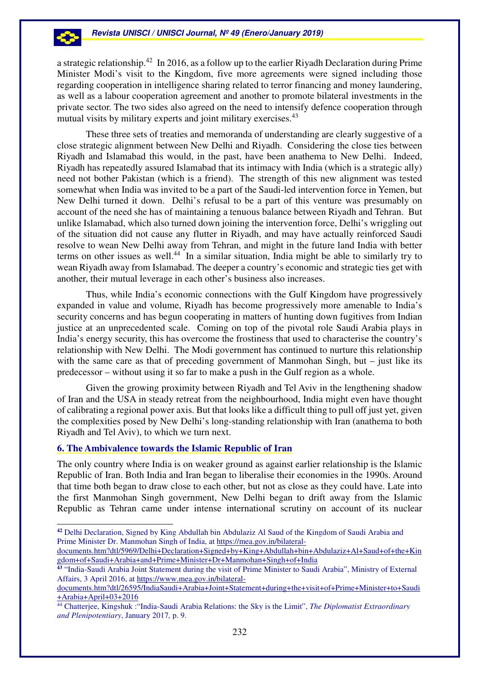a strategic relationship.<sup>42</sup> In 2016, as a follow up to the earlier Riyadh Declaration during Prime Minister Modi's visit to the Kingdom, five more agreements were signed including those regarding cooperation in intelligence sharing related to terror financing and money laundering, as well as a labour cooperation agreement and another to promote bilateral investments in the private sector. The two sides also agreed on the need to intensify defence cooperation through mutual visits by military experts and joint military exercises.<sup>43</sup>

 These three sets of treaties and memoranda of understanding are clearly suggestive of a close strategic alignment between New Delhi and Riyadh. Considering the close ties between Riyadh and Islamabad this would, in the past, have been anathema to New Delhi. Indeed, Riyadh has repeatedly assured Islamabad that its intimacy with India (which is a strategic ally) need not bother Pakistan (which is a friend). The strength of this new alignment was tested somewhat when India was invited to be a part of the Saudi-led intervention force in Yemen, but New Delhi turned it down. Delhi's refusal to be a part of this venture was presumably on account of the need she has of maintaining a tenuous balance between Riyadh and Tehran. But unlike Islamabad, which also turned down joining the intervention force, Delhi's wriggling out of the situation did not cause any flutter in Riyadh, and may have actually reinforced Saudi resolve to wean New Delhi away from Tehran, and might in the future land India with better terms on other issues as well.<sup>44</sup> In a similar situation, India might be able to similarly try to wean Riyadh away from Islamabad. The deeper a country's economic and strategic ties get with another, their mutual leverage in each other's business also increases.

Thus, while India's economic connections with the Gulf Kingdom have progressively expanded in value and volume, Riyadh has become progressively more amenable to India's security concerns and has begun cooperating in matters of hunting down fugitives from Indian justice at an unprecedented scale. Coming on top of the pivotal role Saudi Arabia plays in India's energy security, this has overcome the frostiness that used to characterise the country's relationship with New Delhi. The Modi government has continued to nurture this relationship with the same care as that of preceding government of Manmohan Singh, but – just like its predecessor – without using it so far to make a push in the Gulf region as a whole.

Given the growing proximity between Riyadh and Tel Aviv in the lengthening shadow of Iran and the USA in steady retreat from the neighbourhood, India might even have thought of calibrating a regional power axis. But that looks like a difficult thing to pull off just yet, given the complexities posed by New Delhi's long-standing relationship with Iran (anathema to both Riyadh and Tel Aviv), to which we turn next.

# **6. The Ambivalence towards the Islamic Republic of Iran**

 $\overline{a}$ 

-3

The only country where India is on weaker ground as against earlier relationship is the Islamic Republic of Iran. Both India and Iran began to liberalise their economies in the 1990s. Around that time both began to draw close to each other, but not as close as they could have. Late into the first Manmohan Singh government, New Delhi began to drift away from the Islamic Republic as Tehran came under intense international scrutiny on account of its nuclear

**<sup>42</sup>** Delhi Declaration, Signed by King Abdullah bin Abdulaziz Al Saud of the Kingdom of Saudi Arabia and Prime Minister Dr. Manmohan Singh of India, at https://mea.gov.in/bilateral-

documents.htm?dtl/5969/Delhi+Declaration+Signed+by+King+Abdullah+bin+Abdulaziz+Al+Saud+of+the+Kin gdom+of+Saudi+Arabia+and+Prime+Minister+Dr+Manmohan+Singh+of+India

**<sup>43</sup>** "India-Saudi Arabia Joint Statement during the visit of Prime Minister to Saudi Arabia", Ministry of External Affairs, 3 April 2016, at https://www.mea.gov.in/bilateral-

documents.htm?dtl/26595/IndiaSaudi+Arabia+Joint+Statement+during+the+visit+of+Prime+Minister+to+Saudi +Arabia+April+03+2016

<sup>44</sup> Chatterjee, Kingshuk :"India-Saudi Arabia Relations: the Sky is the Limit", *The Diplomatist Extraordinary and Plenipotentiary*, January 2017*,* p. 9.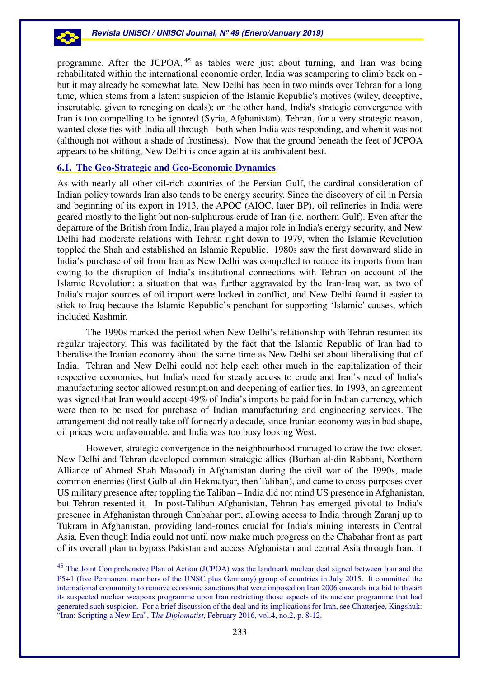

programme. After the JCPOA, <sup>45</sup> as tables were just about turning, and Iran was being rehabilitated within the international economic order, India was scampering to climb back on but it may already be somewhat late. New Delhi has been in two minds over Tehran for a long time, which stems from a latent suspicion of the Islamic Republic's motives (wiley, deceptive, inscrutable, given to reneging on deals); on the other hand, India's strategic convergence with Iran is too compelling to be ignored (Syria, Afghanistan). Tehran, for a very strategic reason, wanted close ties with India all through - both when India was responding, and when it was not (although not without a shade of frostiness). Now that the ground beneath the feet of JCPOA appears to be shifting, New Delhi is once again at its ambivalent best.

# **6.1. The Geo-Strategic and Geo-Economic Dynamics**

As with nearly all other oil-rich countries of the Persian Gulf, the cardinal consideration of Indian policy towards Iran also tends to be energy security. Since the discovery of oil in Persia and beginning of its export in 1913, the APOC (AIOC, later BP), oil refineries in India were geared mostly to the light but non-sulphurous crude of Iran (i.e. northern Gulf). Even after the departure of the British from India, Iran played a major role in India's energy security, and New Delhi had moderate relations with Tehran right down to 1979, when the Islamic Revolution toppled the Shah and established an Islamic Republic. 1980s saw the first downward slide in India's purchase of oil from Iran as New Delhi was compelled to reduce its imports from Iran owing to the disruption of India's institutional connections with Tehran on account of the Islamic Revolution; a situation that was further aggravated by the Iran-Iraq war, as two of India's major sources of oil import were locked in conflict, and New Delhi found it easier to stick to Iraq because the Islamic Republic's penchant for supporting 'Islamic' causes, which included Kashmir.

The 1990s marked the period when New Delhi's relationship with Tehran resumed its regular trajectory. This was facilitated by the fact that the Islamic Republic of Iran had to liberalise the Iranian economy about the same time as New Delhi set about liberalising that of India. Tehran and New Delhi could not help each other much in the capitalization of their respective economies, but India's need for steady access to crude and Iran's need of India's manufacturing sector allowed resumption and deepening of earlier ties. In 1993, an agreement was signed that Iran would accept 49% of India's imports be paid for in Indian currency, which were then to be used for purchase of Indian manufacturing and engineering services. The arrangement did not really take off for nearly a decade, since Iranian economy was in bad shape, oil prices were unfavourable, and India was too busy looking West.

However, strategic convergence in the neighbourhood managed to draw the two closer. New Delhi and Tehran developed common strategic allies (Burhan al-din Rabbani, Northern Alliance of Ahmed Shah Masood) in Afghanistan during the civil war of the 1990s, made common enemies (first Gulb al-din Hekmatyar, then Taliban), and came to cross-purposes over US military presence after toppling the Taliban – India did not mind US presence in Afghanistan, but Tehran resented it. In post-Taliban Afghanistan, Tehran has emerged pivotal to India's presence in Afghanistan through Chabahar port, allowing access to India through Zaranj up to Tukram in Afghanistan, providing land-routes crucial for India's mining interests in Central Asia. Even though India could not until now make much progress on the Chabahar front as part of its overall plan to bypass Pakistan and access Afghanistan and central Asia through Iran, it

<sup>45</sup> The Joint Comprehensive Plan of Action (JCPOA) was the landmark nuclear deal signed between Iran and the P5+1 (five Permanent members of the UNSC plus Germany) group of countries in July 2015. It committed the international community to remove economic sanctions that were imposed on Iran 2006 onwards in a bid to thwart its suspected nuclear weapons programme upon Iran restricting those aspects of its nuclear programme that had generated such suspicion. For a brief discussion of the deal and its implications for Iran, see Chatterjee, Kingshuk: "Iran: Scripting a New Era", T*he Diplomatist*, February 2016, vol.4, no.2, p. 8-12.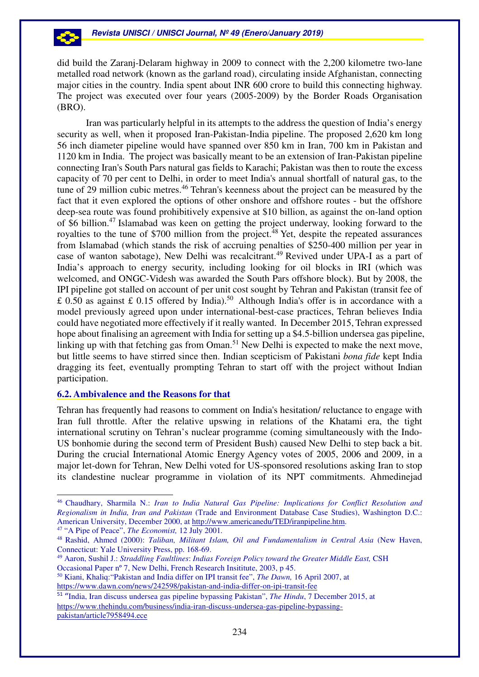did build the Zaranj-Delaram highway in 2009 to connect with the 2,200 kilometre two-lane metalled road network (known as the garland road), circulating inside Afghanistan, connecting major cities in the country. India spent about INR 600 crore to build this connecting highway. The project was executed over four years (2005-2009) by the Border Roads Organisation (BRO).

Iran was particularly helpful in its attempts to the address the question of India's energy security as well, when it proposed Iran-Pakistan-India pipeline. The proposed 2,620 km long 56 inch diameter pipeline would have spanned over 850 km in Iran, 700 km in Pakistan and 1120 km in India. The project was basically meant to be an extension of Iran-Pakistan pipeline connecting Iran's South Pars natural gas fields to Karachi; Pakistan was then to route the excess capacity of 70 per cent to Delhi, in order to meet India's annual shortfall of natural gas, to the tune of 29 million cubic metres.<sup>46</sup> Tehran's keenness about the project can be measured by the fact that it even explored the options of other onshore and offshore routes - but the offshore deep-sea route was found prohibitively expensive at \$10 billion, as against the on-land option of \$6 billion.<sup>47</sup> Islamabad was keen on getting the project underway, looking forward to the royalties to the tune of \$700 million from the project.<sup>48</sup> Yet, despite the repeated assurances from Islamabad (which stands the risk of accruing penalties of \$250-400 million per year in case of wanton sabotage), New Delhi was recalcitrant. <sup>49</sup> Revived under UPA-I as a part of India's approach to energy security, including looking for oil blocks in IRI (which was welcomed, and ONGC-Videsh was awarded the South Pars offshore block). But by 2008, the IPI pipeline got stalled on account of per unit cost sought by Tehran and Pakistan (transit fee of  $\pounds$  0.50 as against  $\pounds$  0.15 offered by India).<sup>50</sup> Although India's offer is in accordance with a model previously agreed upon under international-best-case practices, Tehran believes India could have negotiated more effectively if it really wanted. In December 2015, Tehran expressed hope about finalising an agreement with India for setting up a \$4.5-billion undersea gas pipeline, linking up with that fetching gas from Oman.<sup>51</sup> New Delhi is expected to make the next move, but little seems to have stirred since then. Indian scepticism of Pakistani *bona fide* kept India dragging its feet, eventually prompting Tehran to start off with the project without Indian participation.

# **6.2. Ambivalence and the Reasons for that**

 $\overline{a}$ 

Tehran has frequently had reasons to comment on India's hesitation/ reluctance to engage with Iran full throttle. After the relative upswing in relations of the Khatami era, the tight international scrutiny on Tehran's nuclear programme (coming simultaneously with the Indo-US bonhomie during the second term of President Bush) caused New Delhi to step back a bit. During the crucial International Atomic Energy Agency votes of 2005, 2006 and 2009, in a major let-down for Tehran, New Delhi voted for US-sponsored resolutions asking Iran to stop its clandestine nuclear programme in violation of its NPT commitments. Ahmedinejad

<sup>50</sup> Kiani, Khaliq:"Pakistan and India differ on IPI transit fee", *The Dawn,* 16 April 2007, at https://www.dawn.com/news/242598/pakistan-and-india-differ-on-ipi-transit-fee

<sup>51</sup> "India, Iran discuss undersea gas pipeline bypassing Pakistan", *The Hindu*, 7 December 2015, at https://www.thehindu.com/business/india-iran-discuss-undersea-gas-pipeline-bypassingpakistan/article7958494.ece

<sup>46</sup> Chaudhary, Sharmila N.: *Iran to India Natural Gas Pipeline: Implications for Conflict Resolution and Regionalism in India, Iran and Pakistan* (Trade and Environment Database Case Studies), Washington D.C.: American University, December 2000, at http://www.americanedu/TED/iranpipeline.htm. <sup>47</sup> "A Pipe of Peace", *The Economist,* 12 July 2001*.*

<sup>48</sup> Rashid, Ahmed (2000): *Taliban, Militant Islam, Oil and Fundamentalism in Central Asia* (New Haven, Connecticut: Yale University Press, pp. 168-69.

<sup>49</sup> Aaron, Sushil J.: *Straddling Faultlines*: *Indias Foreign Policy toward the Greater Middle East,* CSH Occasional Paper nº 7, New Delhi, French Research Insititute, 2003, p 45.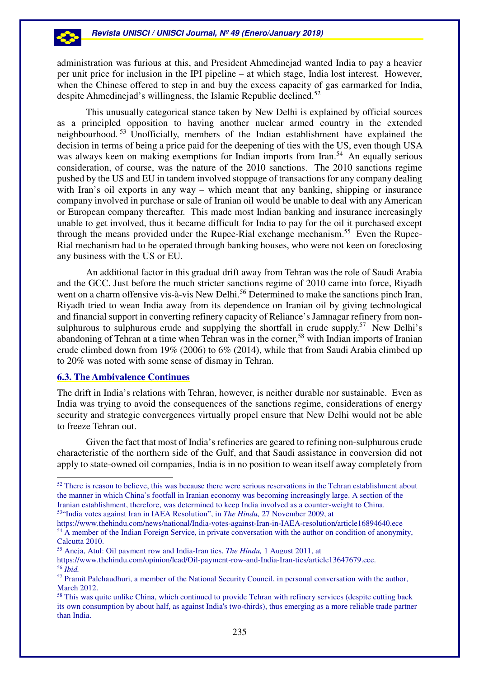administration was furious at this, and President Ahmedinejad wanted India to pay a heavier per unit price for inclusion in the IPI pipeline – at which stage, India lost interest. However, when the Chinese offered to step in and buy the excess capacity of gas earmarked for India, despite Ahmedinejad's willingness, the Islamic Republic declined.<sup>52</sup>

This unusually categorical stance taken by New Delhi is explained by official sources as a principled opposition to having another nuclear armed country in the extended neighbourhood. <sup>53</sup> Unofficially, members of the Indian establishment have explained the decision in terms of being a price paid for the deepening of ties with the US, even though USA was always keen on making exemptions for Indian imports from Iran.<sup>54</sup> An equally serious consideration, of course, was the nature of the 2010 sanctions. The 2010 sanctions regime pushed by the US and EU in tandem involved stoppage of transactions for any company dealing with Iran's oil exports in any way – which meant that any banking, shipping or insurance company involved in purchase or sale of Iranian oil would be unable to deal with any American or European company thereafter. This made most Indian banking and insurance increasingly unable to get involved, thus it became difficult for India to pay for the oil it purchased except through the means provided under the Rupee-Rial exchange mechanism.<sup>55</sup> Even the Rupee-Rial mechanism had to be operated through banking houses, who were not keen on foreclosing any business with the US or EU.

An additional factor in this gradual drift away from Tehran was the role of Saudi Arabia and the GCC. Just before the much stricter sanctions regime of 2010 came into force, Riyadh went on a charm offensive vis-à-vis New Delhi.<sup>56</sup> Determined to make the sanctions pinch Iran, Riyadh tried to wean India away from its dependence on Iranian oil by giving technological and financial support in converting refinery capacity of Reliance's Jamnagar refinery from nonsulphurous to sulphurous crude and supplying the shortfall in crude supply.<sup>57</sup> New Delhi's abandoning of Tehran at a time when Tehran was in the corner,<sup>58</sup> with Indian imports of Iranian crude climbed down from 19% (2006) to 6% (2014), while that from Saudi Arabia climbed up to 20% was noted with some sense of dismay in Tehran.

# **6.3. The Ambivalence Continues**

 $\overline{a}$ 

The drift in India's relations with Tehran, however, is neither durable nor sustainable. Even as India was trying to avoid the consequences of the sanctions regime, considerations of energy security and strategic convergences virtually propel ensure that New Delhi would not be able to freeze Tehran out.

Given the fact that most of India's refineries are geared to refining non-sulphurous crude characteristic of the northern side of the Gulf, and that Saudi assistance in conversion did not apply to state-owned oil companies, India is in no position to wean itself away completely from

 $52$  There is reason to believe, this was because there were serious reservations in the Tehran establishment about the manner in which China's footfall in Iranian economy was becoming increasingly large. A section of the Iranian establishment, therefore, was determined to keep India involved as a counter-weight to China. <sup>53</sup>"India votes against Iran in IAEA Resolution", in *The Hindu,* 27 November 2009, at

https://www.thehindu.com/news/national/India-votes-against-Iran-in-IAEA-resolution/article16894640.ece  $54 \text{ Å}$  member of the Indian Foreign Service, in private conversation with the author on condition of anonymity, Calcutta 2010.

<sup>55</sup> Aneja, Atul: Oil payment row and India-Iran ties, *The Hindu,* 1 August 2011, at

https://www.thehindu.com/opinion/lead/Oil-payment-row-and-India-Iran-ties/article13647679.ece. <sup>56</sup> *Ibid.*

<sup>57</sup> Pramit Palchaudhuri, a member of the National Security Council, in personal conversation with the author, March 2012.

<sup>&</sup>lt;sup>58</sup> This was quite unlike China, which continued to provide Tehran with refinery services (despite cutting back its own consumption by about half, as against India's two-thirds), thus emerging as a more reliable trade partner than India.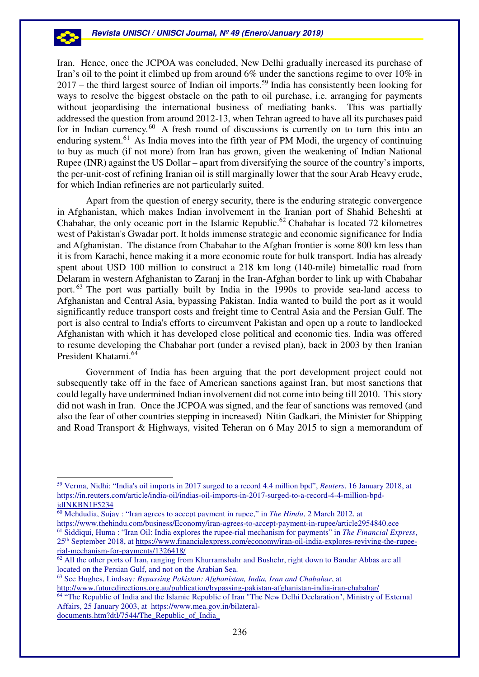Iran. Hence, once the JCPOA was concluded, New Delhi gradually increased its purchase of Iran's oil to the point it climbed up from around 6% under the sanctions regime to over 10% in  $2017$  – the third largest source of Indian oil imports.<sup>59</sup> India has consistently been looking for ways to resolve the biggest obstacle on the path to oil purchase, i.e. arranging for payments without jeopardising the international business of mediating banks. This was partially addressed the question from around 2012-13, when Tehran agreed to have all its purchases paid for in Indian currency.<sup>60</sup> A fresh round of discussions is currently on to turn this into an enduring system.<sup>61</sup> As India moves into the fifth year of PM Modi, the urgency of continuing to buy as much (if not more) from Iran has grown, given the weakening of Indian National Rupee (INR) against the US Dollar – apart from diversifying the source of the country's imports, the per-unit-cost of refining Iranian oil is still marginally lower that the sour Arab Heavy crude, for which Indian refineries are not particularly suited.

Apart from the question of energy security, there is the enduring strategic convergence in Afghanistan, which makes Indian involvement in the Iranian port of Shahid Beheshti at Chabahar, the only oceanic port in the Islamic Republic.<sup>62</sup> Chabahar is located 72 kilometres west of Pakistan's Gwadar port. It holds immense strategic and economic significance for India and Afghanistan. The distance from Chabahar to the Afghan frontier is some 800 km less than it is from Karachi, hence making it a more economic route for bulk transport. India has already spent about USD 100 million to construct a 218 km long (140-mile) bimetallic road from Delaram in western Afghanistan to Zaranj in the Iran-Afghan border to link up with Chabahar port. <sup>63</sup> The port was partially built by India in the 1990s to provide sea-land access to Afghanistan and Central Asia, bypassing Pakistan. India wanted to build the port as it would significantly reduce transport costs and freight time to Central Asia and the Persian Gulf. The port is also central to India's efforts to circumvent Pakistan and open up a route to landlocked Afghanistan with which it has developed close political and economic ties. India was offered to resume developing the Chabahar port (under a revised plan), back in 2003 by then Iranian President Khatami.<sup>64</sup>

Government of India has been arguing that the port development project could not subsequently take off in the face of American sanctions against Iran, but most sanctions that could legally have undermined Indian involvement did not come into being till 2010. This story did not wash in Iran. Once the JCPOA was signed, and the fear of sanctions was removed (and also the fear of other countries stepping in increased) Nitin Gadkari, the Minister for Shipping and Road Transport & Highways, visited Teheran on 6 May 2015 to sign a memorandum of

 $\overline{a}$ 

<sup>63</sup> See Hughes, Lindsay*: Bypassing Pakistan: Afghanistan, India, Iran and Chabahar*, at http://www.futuredirections.org.au/publication/bypassing-pakistan-afghanistan-india-iran-chabahar/

<sup>59</sup> Verma, Nidhi: "India's oil imports in 2017 surged to a record 4.4 million bpd", *Reuters*, 16 January 2018, at https://in.reuters.com/article/india-oil/indias-oil-imports-in-2017-surged-to-a-record-4-4-million-bpdidINKBN1F5234

<sup>60</sup> Mehdudia, Sujay : "Iran agrees to accept payment in rupee," in *The Hindu*, 2 March 2012, at

https://www.thehindu.com/business/Economy/iran-agrees-to-accept-payment-in-rupee/article2954840.ece <sup>61</sup> Siddiqui, Huma : "Iran Oil: India explores the rupee-rial mechanism for payments" in *The Financial Express*, 25th September 2018, at https://www.financialexpress.com/economy/iran-oil-india-explores-reviving-the-rupeerial-mechanism-for-payments/1326418/

<sup>&</sup>lt;sup>62</sup> All the other ports of Iran, ranging from Khurramshahr and Bushehr, right down to Bandar Abbas are all located on the Persian Gulf, and not on the Arabian Sea.

<sup>&</sup>lt;sup>64</sup> "The Republic of India and the Islamic Republic of Iran "The New Delhi Declaration", Ministry of External Affairs, 25 January 2003, at https://www.mea.gov.in/bilateraldocuments.htm?dtl/7544/The\_Republic\_of\_India\_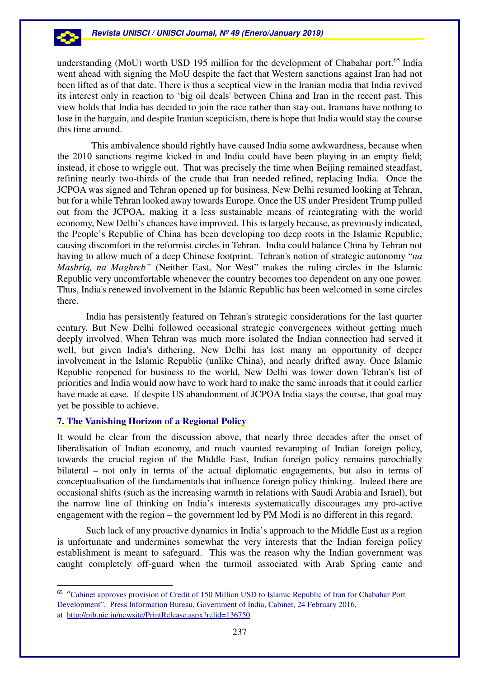understanding (MoU) worth USD 195 million for the development of Chabahar port.<sup>65</sup> India went ahead with signing the MoU despite the fact that Western sanctions against Iran had not been lifted as of that date. There is thus a sceptical view in the Iranian media that India revived its interest only in reaction to 'big oil deals' between China and Iran in the recent past. This view holds that India has decided to join the race rather than stay out. Iranians have nothing to lose in the bargain, and despite Iranian scepticism, there is hope that India would stay the course this time around.

 This ambivalence should rightly have caused India some awkwardness, because when the 2010 sanctions regime kicked in and India could have been playing in an empty field; instead, it chose to wriggle out. That was precisely the time when Beijing remained steadfast, refining nearly two-thirds of the crude that Iran needed refined, replacing India. Once the JCPOA was signed and Tehran opened up for business, New Delhi resumed looking at Tehran, but for a while Tehran looked away towards Europe. Once the US under President Trump pulled out from the JCPOA, making it a less sustainable means of reintegrating with the world economy, New Delhi's chances have improved. This is largely because, as previously indicated, the People's Republic of China has been developing too deep roots in the Islamic Republic, causing discomfort in the reformist circles in Tehran. India could balance China by Tehran not having to allow much of a deep Chinese footprint. Tehran's notion of strategic autonomy "*na Mashriq, na Maghreb*" (Neither East, Nor West" makes the ruling circles in the Islamic Republic very uncomfortable whenever the country becomes too dependent on any one power. Thus, India's renewed involvement in the Islamic Republic has been welcomed in some circles there.

India has persistently featured on Tehran's strategic considerations for the last quarter century. But New Delhi followed occasional strategic convergences without getting much deeply involved. When Tehran was much more isolated the Indian connection had served it well, but given India's dithering, New Delhi has lost many an opportunity of deeper involvement in the Islamic Republic (unlike China), and nearly drifted away. Once Islamic Republic reopened for business to the world, New Delhi was lower down Tehran's list of priorities and India would now have to work hard to make the same inroads that it could earlier have made at ease. If despite US abandonment of JCPOA India stays the course, that goal may yet be possible to achieve.

# **7. The Vanishing Horizon of a Regional Policy**

It would be clear from the discussion above, that nearly three decades after the onset of liberalisation of Indian economy, and much vaunted revamping of Indian foreign policy, towards the crucial region of the Middle East, Indian foreign policy remains parochially bilateral – not only in terms of the actual diplomatic engagements, but also in terms of conceptualisation of the fundamentals that influence foreign policy thinking. Indeed there are occasional shifts (such as the increasing warmth in relations with Saudi Arabia and Israel), but the narrow line of thinking on India's interests systematically discourages any pro-active engagement with the region – the government led by PM Modi is no different in this regard.

Such lack of any proactive dynamics in India's approach to the Middle East as a region is unfortunate and undermines somewhat the very interests that the Indian foreign policy establishment is meant to safeguard. This was the reason why the Indian government was caught completely off-guard when the turmoil associated with Arab Spring came and

<sup>65</sup> "Cabinet approves provision of Credit of 150 Million USD to Islamic Republic of Iran for Chabahar Port Development", Press Information Bureau, Government of India, Cabinet, 24 February 2016, at http://pib.nic.in/newsite/PrintRelease.aspx?relid=136750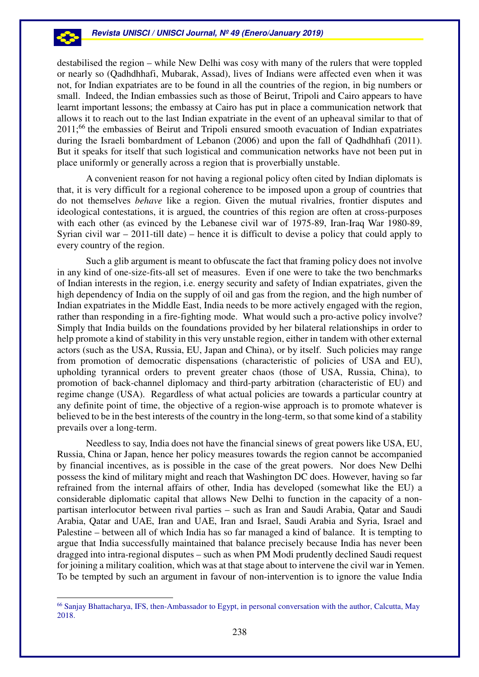destabilised the region – while New Delhi was cosy with many of the rulers that were toppled or nearly so (Qadhdhhafi, Mubarak, Assad), lives of Indians were affected even when it was not, for Indian expatriates are to be found in all the countries of the region, in big numbers or small. Indeed, the Indian embassies such as those of Beirut, Tripoli and Cairo appears to have learnt important lessons; the embassy at Cairo has put in place a communication network that allows it to reach out to the last Indian expatriate in the event of an upheaval similar to that of 2011;<sup>66</sup> the embassies of Beirut and Tripoli ensured smooth evacuation of Indian expatriates during the Israeli bombardment of Lebanon (2006) and upon the fall of Qadhdhhafi (2011). But it speaks for itself that such logistical and communication networks have not been put in place uniformly or generally across a region that is proverbially unstable.

A convenient reason for not having a regional policy often cited by Indian diplomats is that, it is very difficult for a regional coherence to be imposed upon a group of countries that do not themselves *behave* like a region. Given the mutual rivalries, frontier disputes and ideological contestations, it is argued, the countries of this region are often at cross-purposes with each other (as evinced by the Lebanese civil war of 1975-89, Iran-Iraq War 1980-89, Syrian civil war – 2011-till date) – hence it is difficult to devise a policy that could apply to every country of the region.

Such a glib argument is meant to obfuscate the fact that framing policy does not involve in any kind of one-size-fits-all set of measures. Even if one were to take the two benchmarks of Indian interests in the region, i.e. energy security and safety of Indian expatriates, given the high dependency of India on the supply of oil and gas from the region, and the high number of Indian expatriates in the Middle East, India needs to be more actively engaged with the region, rather than responding in a fire-fighting mode. What would such a pro-active policy involve? Simply that India builds on the foundations provided by her bilateral relationships in order to help promote a kind of stability in this very unstable region, either in tandem with other external actors (such as the USA, Russia, EU, Japan and China), or by itself. Such policies may range from promotion of democratic dispensations (characteristic of policies of USA and EU), upholding tyrannical orders to prevent greater chaos (those of USA, Russia, China), to promotion of back-channel diplomacy and third-party arbitration (characteristic of EU) and regime change (USA). Regardless of what actual policies are towards a particular country at any definite point of time, the objective of a region-wise approach is to promote whatever is believed to be in the best interests of the country in the long-term, so that some kind of a stability prevails over a long-term.

Needless to say, India does not have the financial sinews of great powers like USA, EU, Russia, China or Japan, hence her policy measures towards the region cannot be accompanied by financial incentives, as is possible in the case of the great powers. Nor does New Delhi possess the kind of military might and reach that Washington DC does. However, having so far refrained from the internal affairs of other, India has developed (somewhat like the EU) a considerable diplomatic capital that allows New Delhi to function in the capacity of a nonpartisan interlocutor between rival parties – such as Iran and Saudi Arabia, Qatar and Saudi Arabia, Qatar and UAE, Iran and UAE, Iran and Israel, Saudi Arabia and Syria, Israel and Palestine – between all of which India has so far managed a kind of balance. It is tempting to argue that India successfully maintained that balance precisely because India has never been dragged into intra-regional disputes – such as when PM Modi prudently declined Saudi request for joining a military coalition, which was at that stage about to intervene the civil war in Yemen. To be tempted by such an argument in favour of non-intervention is to ignore the value India

 $\overline{a}$ 

<sup>66</sup> Sanjay Bhattacharya, IFS, then-Ambassador to Egypt, in personal conversation with the author, Calcutta, May 2018.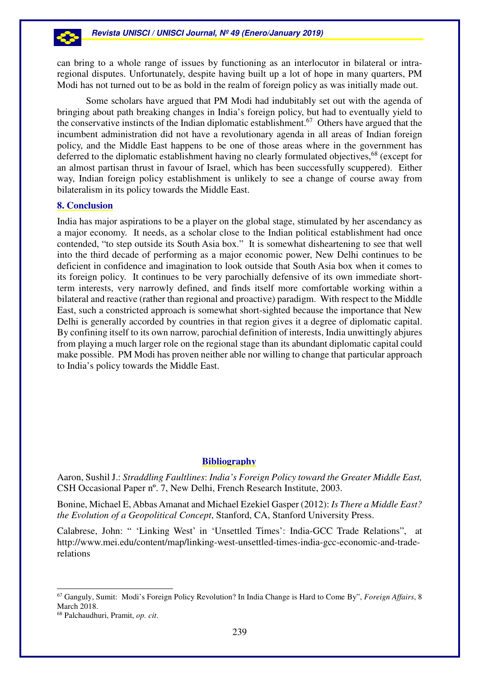can bring to a whole range of issues by functioning as an interlocutor in bilateral or intraregional disputes. Unfortunately, despite having built up a lot of hope in many quarters, PM Modi has not turned out to be as bold in the realm of foreign policy as was initially made out.

Some scholars have argued that PM Modi had indubitably set out with the agenda of bringing about path breaking changes in India's foreign policy, but had to eventually yield to the conservative instincts of the Indian diplomatic establishment.<sup>67</sup> Others have argued that the incumbent administration did not have a revolutionary agenda in all areas of Indian foreign policy, and the Middle East happens to be one of those areas where in the government has deferred to the diplomatic establishment having no clearly formulated objectives,<sup>68</sup> (except for an almost partisan thrust in favour of Israel, which has been successfully scuppered). Either way, Indian foreign policy establishment is unlikely to see a change of course away from bilateralism in its policy towards the Middle East.

## **8. Conclusion**

India has major aspirations to be a player on the global stage, stimulated by her ascendancy as a major economy. It needs, as a scholar close to the Indian political establishment had once contended, "to step outside its South Asia box." It is somewhat disheartening to see that well into the third decade of performing as a major economic power, New Delhi continues to be deficient in confidence and imagination to look outside that South Asia box when it comes to its foreign policy. It continues to be very parochially defensive of its own immediate shortterm interests, very narrowly defined, and finds itself more comfortable working within a bilateral and reactive (rather than regional and proactive) paradigm. With respect to the Middle East, such a constricted approach is somewhat short-sighted because the importance that New Delhi is generally accorded by countries in that region gives it a degree of diplomatic capital. By confining itself to its own narrow, parochial definition of interests, India unwittingly abjures from playing a much larger role on the regional stage than its abundant diplomatic capital could make possible. PM Modi has proven neither able nor willing to change that particular approach to India's policy towards the Middle East.

# **Bibliography**

Aaron, Sushil J.: *Straddling Faultlines*: *India's Foreign Policy toward the Greater Middle East,* CSH Occasional Paper nº. 7, New Delhi, French Research Institute, 2003.

Bonine, Michael E, Abbas Amanat and Michael Ezekiel Gasper (2012): *Is There a Middle East? the Evolution of a Geopolitical Concept*, Stanford, CA, Stanford University Press.

Calabrese, John: " 'Linking West' in 'Unsettled Times': India-GCC Trade Relations", at http://www.mei.edu/content/map/linking-west-unsettled-times-india-gcc-economic-and-traderelations

 $\overline{a}$ 

<sup>67</sup> Ganguly, Sumit: Modi's Foreign Policy Revolution? In India Change is Hard to Come By", *Foreign Affairs*, 8 March 2018.

<sup>68</sup> Palchaudhuri, Pramit, *op. cit*.